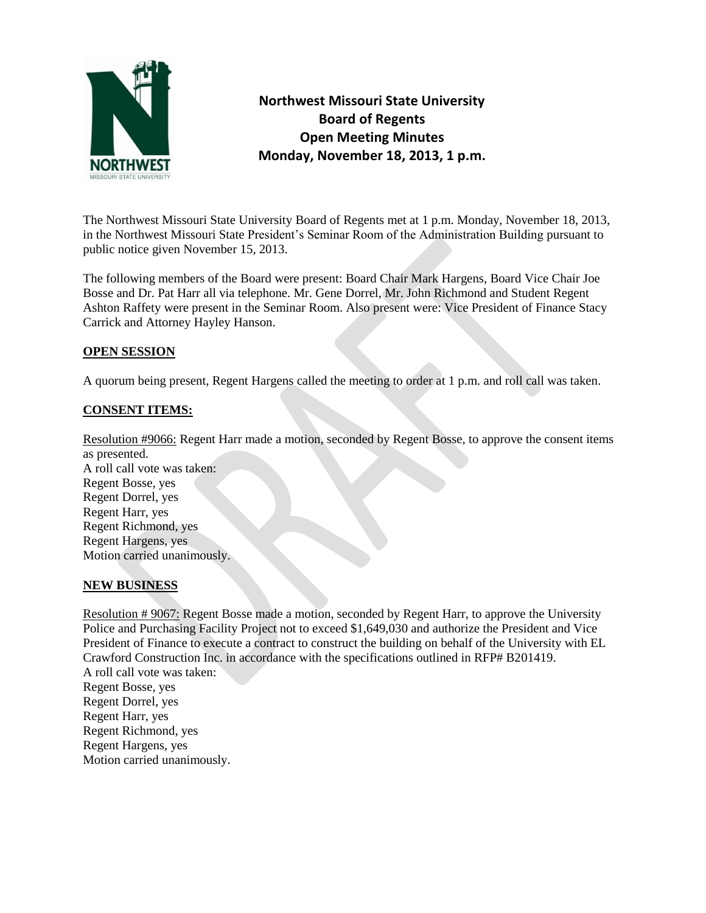

**Northwest Missouri State University Board of Regents Open Meeting Minutes Monday, November 18, 2013, 1 p.m.** 

The Northwest Missouri State University Board of Regents met at 1 p.m. Monday, November 18, 2013, in the Northwest Missouri State President's Seminar Room of the Administration Building pursuant to public notice given November 15, 2013.

The following members of the Board were present: Board Chair Mark Hargens, Board Vice Chair Joe Bosse and Dr. Pat Harr all via telephone. Mr. Gene Dorrel, Mr. John Richmond and Student Regent Ashton Raffety were present in the Seminar Room. Also present were: Vice President of Finance Stacy Carrick and Attorney Hayley Hanson.

## **OPEN SESSION**

A quorum being present, Regent Hargens called the meeting to order at 1 p.m. and roll call was taken.

## **CONSENT ITEMS:**

Resolution #9066: Regent Harr made a motion, seconded by Regent Bosse, to approve the consent items as presented. A roll call vote was taken: Regent Bosse, yes Regent Dorrel, yes Regent Harr, yes Regent Richmond, yes Regent Hargens, yes Motion carried unanimously.

## **NEW BUSINESS**

Resolution # 9067: Regent Bosse made a motion, seconded by Regent Harr, to approve the University Police and Purchasing Facility Project not to exceed \$1,649,030 and authorize the President and Vice President of Finance to execute a contract to construct the building on behalf of the University with EL Crawford Construction Inc. in accordance with the specifications outlined in RFP# B201419. A roll call vote was taken: Regent Bosse, yes

Regent Dorrel, yes Regent Harr, yes Regent Richmond, yes Regent Hargens, yes Motion carried unanimously.